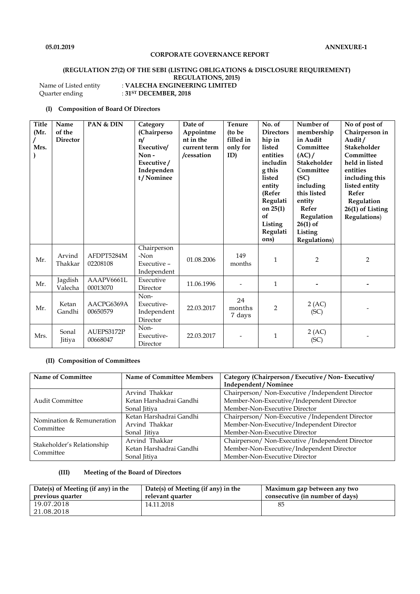### **CORPORATE GOVERNANCE REPORT**

#### **(REGULATION 27(2) OF THE SEBI (LISTING OBLIGATIONS & DISCLOSURE REQUIREMENT) REGULATIONS, 2015)** Name of Listed entity : **VALECHA ENGINEERING LIMITED**

Quarter ending :  $31^{ST}$  **DECEMBER, 2018** 

#### **(I) Composition of Board Of Directors**

| <b>Title</b><br>(Mr.<br>Mrs. | Name<br>of the<br><b>Director</b> | PAN & DIN              | Category<br>(Chairperso<br>n/<br>Executive/<br>Non-<br>Executive/<br>Independen<br>t/Nominee | Date of<br>Appointme<br>nt in the<br>current term<br>/cessation | Tenure<br>(to be<br>filled in<br>only for<br>ID) | No. of<br><b>Directors</b><br>hip in<br>listed<br>entities<br>includin<br>g this<br>listed<br>entity<br>(Refer<br>Regulati<br>on $25(1)$<br>of<br>Listing<br>Regulati<br>ons) | Number of<br>membership<br>in Audit<br>Committee<br>(AC)/<br><b>Stakeholder</b><br>Committee<br>(SC)<br>including<br>this listed<br>entity<br>Refer<br>Regulation<br>$26(1)$ of<br>Listing<br>Regulations) | No of post of<br>Chairperson in<br>Audit/<br><b>Stakeholder</b><br>Committee<br>held in listed<br>entities<br>including this<br>listed entity<br>Refer<br>Regulation<br>26(1) of Listing<br><b>Regulations</b> ) |
|------------------------------|-----------------------------------|------------------------|----------------------------------------------------------------------------------------------|-----------------------------------------------------------------|--------------------------------------------------|-------------------------------------------------------------------------------------------------------------------------------------------------------------------------------|------------------------------------------------------------------------------------------------------------------------------------------------------------------------------------------------------------|------------------------------------------------------------------------------------------------------------------------------------------------------------------------------------------------------------------|
| Mr.                          | Arvind<br>Thakkar                 | AFDPT5284M<br>02208108 | Chairperson<br>-Non<br>Executive -<br>Independent                                            | 01.08.2006                                                      | 149<br>months                                    | $\mathbf{1}$                                                                                                                                                                  | $\overline{2}$                                                                                                                                                                                             | $\overline{2}$                                                                                                                                                                                                   |
| Mr.                          | Jagdish<br>Valecha                | AAAPV6661L<br>00013070 | Executive<br>Director                                                                        | 11.06.1996                                                      |                                                  | $\mathbf{1}$                                                                                                                                                                  |                                                                                                                                                                                                            |                                                                                                                                                                                                                  |
| Mr.                          | Ketan<br>Gandhi                   | AACPG6369A<br>00650579 | Non-<br>Executive-<br>Independent<br>Director                                                | 22.03.2017                                                      | 24<br>months<br>7 days                           | $\overline{2}$                                                                                                                                                                | 2 (AC)<br>(SC)                                                                                                                                                                                             |                                                                                                                                                                                                                  |
| Mrs.                         | Sonal<br><b>Jitiya</b>            | AUEPS3172P<br>00668047 | Non-<br>Executive-<br>Director                                                               | 22.03.2017                                                      |                                                  | $\mathbf{1}$                                                                                                                                                                  | 2 (AC)<br>(SC)                                                                                                                                                                                             |                                                                                                                                                                                                                  |

## **(II) Composition of Committees**

| <b>Name of Committee</b>   | <b>Name of Committee Members</b> | Category (Chairperson / Executive / Non-Executive/ |  |
|----------------------------|----------------------------------|----------------------------------------------------|--|
|                            |                                  | Independent / Nominee                              |  |
|                            | Arvind Thakkar                   | Chairperson/ Non-Executive / Independent Director  |  |
| <b>Audit Committee</b>     | Ketan Harshadrai Gandhi          | Member-Non-Executive/Independent Director          |  |
|                            | Sonal Jitiya                     | Member-Non-Executive Director                      |  |
| Nomination & Remuneration  | Ketan Harshadrai Gandhi          | Chairperson/ Non-Executive / Independent Director  |  |
| Committee                  | Arvind Thakkar                   | Member-Non-Executive/Independent Director          |  |
|                            | Sonal Jitiya                     | Member-Non-Executive Director                      |  |
| Stakeholder's Relationship | Arvind Thakkar                   | Chairperson/ Non-Executive / Independent Director  |  |
| Committee                  | Ketan Harshadrai Gandhi          | Member-Non-Executive/Independent Director          |  |
|                            | Sonal Jitiya                     | Member-Non-Executive Director                      |  |

## **(III) Meeting of the Board of Directors**

| Date(s) of Meeting (if any) in the | Date(s) of Meeting (if any) in the | Maximum gap between any two     |
|------------------------------------|------------------------------------|---------------------------------|
| previous quarter                   | relevant quarter                   | consecutive (in number of days) |
| 19.07.2018                         | 14.11.2018                         | 85                              |
| 21.08.2018                         |                                    |                                 |